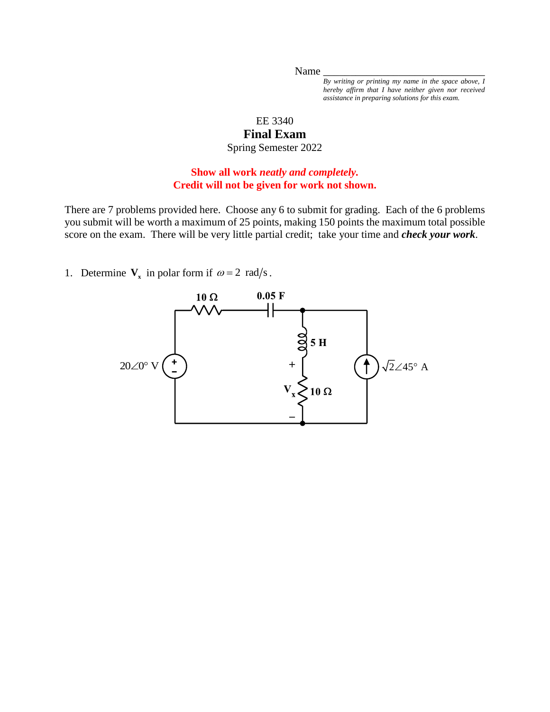Name

*By writing or printing my name in the space above, I hereby affirm that I have neither given nor received assistance in preparing solutions for this exam.*

## EE 3340

## **Final Exam**

Spring Semester 2022

## **Show all work** *neatly and completely.* **Credit will not be given for work not shown.**

There are 7 problems provided here. Choose any 6 to submit for grading. Each of the 6 problems you submit will be worth a maximum of 25 points, making 150 points the maximum total possible score on the exam. There will be very little partial credit; take your time and *check your work*.

1. Determine  $V_x$  in polar form if  $\omega = 2$  rad/s.

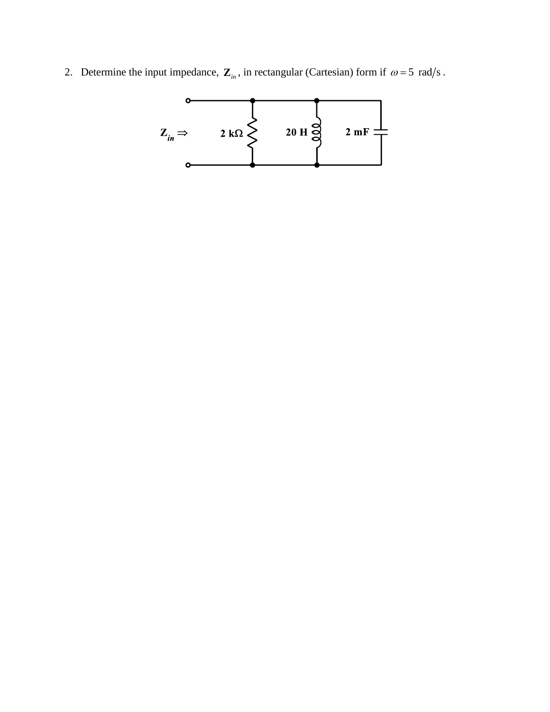2. Determine the input impedance,  $\mathbf{Z}_{in}$ , in rectangular (Cartesian) form if  $\omega = 5$  rad/s.

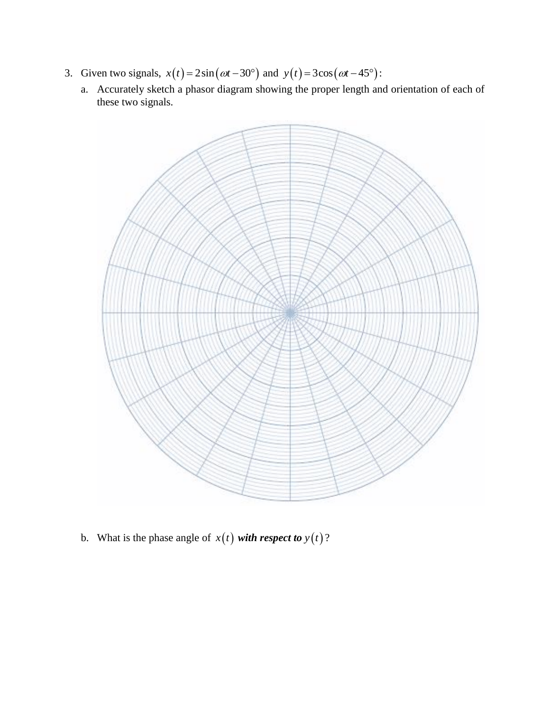- 3. Given two signals,  $x(t) = 2\sin(\omega t 30^\circ)$  and  $y(t) = 3\cos(\omega t 45^\circ)$ :
	- a. Accurately sketch a phasor diagram showing the proper length and orientation of each of these two signals.



b. What is the phase angle of  $x(t)$  with respect to  $y(t)$ ?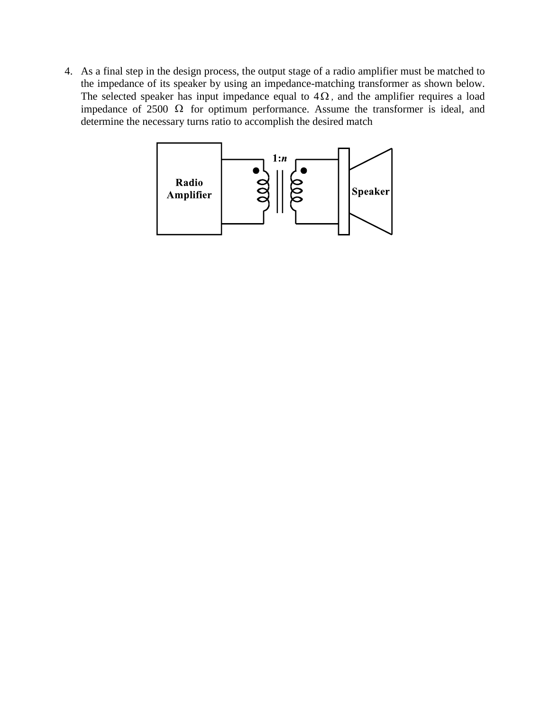4. As a final step in the design process, the output stage of a radio amplifier must be matched to the impedance of its speaker by using an impedance-matching transformer as shown below. The selected speaker has input impedance equal to  $4\Omega$ , and the amplifier requires a load impedance of 2500  $\Omega$  for optimum performance. Assume the transformer is ideal, and determine the necessary turns ratio to accomplish the desired match

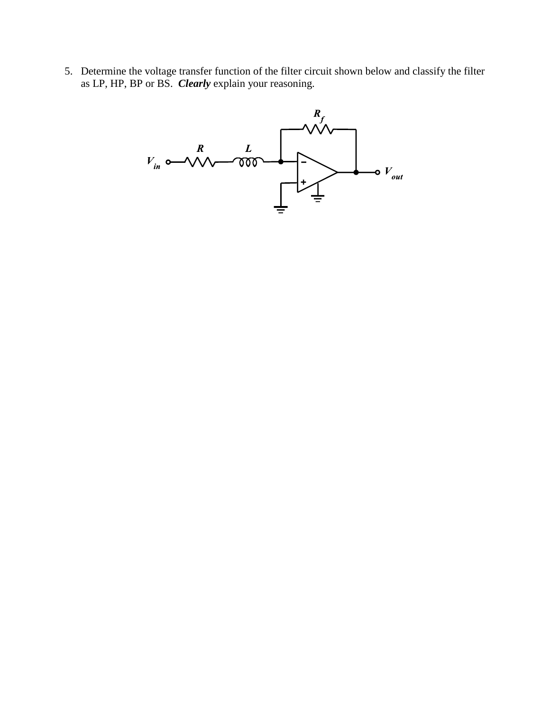5. Determine the voltage transfer function of the filter circuit shown below and classify the filter as LP, HP, BP or BS. *Clearly* explain your reasoning.

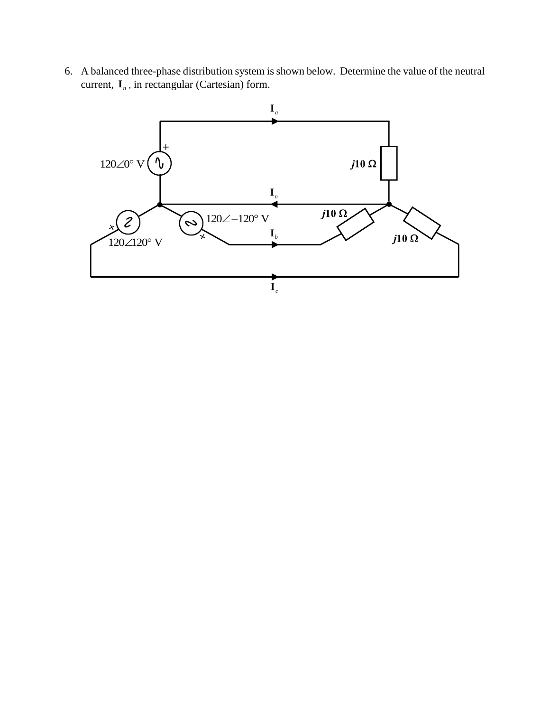6. A balanced three-phase distribution system is shown below. Determine the value of the neutral current,  $I_n$ , in rectangular (Cartesian) form.